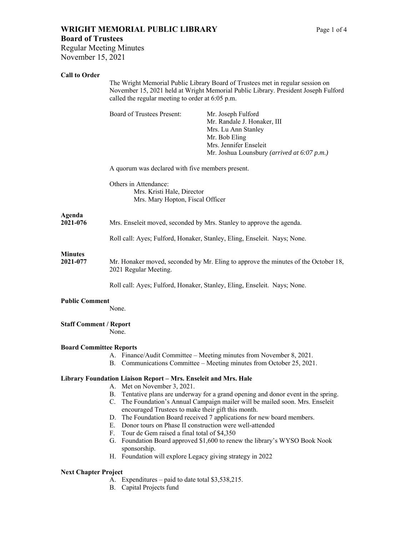# **WRIGHT MEMORIAL PUBLIC LIBRARY** Page 1 of 4 **Board of Trustees**

Regular Meeting Minutes November 15, 2021

### **Call to Order**

|                                        | The Wright Memorial Public Library Board of Trustees met in regular session on<br>November 15, 2021 held at Wright Memorial Public Library. President Joseph Fulford<br>called the regular meeting to order at 6:05 p.m. |                                                                                                                                                                    |  |
|----------------------------------------|--------------------------------------------------------------------------------------------------------------------------------------------------------------------------------------------------------------------------|--------------------------------------------------------------------------------------------------------------------------------------------------------------------|--|
|                                        | Board of Trustees Present:                                                                                                                                                                                               | Mr. Joseph Fulford<br>Mr. Randale J. Honaker, III<br>Mrs. Lu Ann Stanley<br>Mr. Bob Eling<br>Mrs. Jennifer Enseleit<br>Mr. Joshua Lounsbury (arrived at 6:07 p.m.) |  |
|                                        |                                                                                                                                                                                                                          | A quorum was declared with five members present.                                                                                                                   |  |
|                                        | Others in Attendance:<br>Mrs. Kristi Hale, Director<br>Mrs. Mary Hopton, Fiscal Officer                                                                                                                                  |                                                                                                                                                                    |  |
| Agenda<br>2021-076                     | Mrs. Enseleit moved, seconded by Mrs. Stanley to approve the agenda.                                                                                                                                                     |                                                                                                                                                                    |  |
|                                        |                                                                                                                                                                                                                          | Roll call: Ayes; Fulford, Honaker, Stanley, Eling, Enseleit. Nays; None.                                                                                           |  |
| <b>Minutes</b><br>2021-077             | Mr. Honaker moved, seconded by Mr. Eling to approve the minutes of the October 18,<br>2021 Regular Meeting.                                                                                                              |                                                                                                                                                                    |  |
|                                        |                                                                                                                                                                                                                          | Roll call: Ayes; Fulford, Honaker, Stanley, Eling, Enseleit. Nays; None.                                                                                           |  |
| <b>Public Comment</b>                  | None.                                                                                                                                                                                                                    |                                                                                                                                                                    |  |
| <b>Staff Comment / Report</b><br>None. |                                                                                                                                                                                                                          |                                                                                                                                                                    |  |
| <b>Board Committee Reports</b>         |                                                                                                                                                                                                                          | A. Finance/Audit Committee – Meeting minutes from November 8, 2021.<br>B. Communications Committee – Meeting minutes from October 25, 2021.                        |  |
|                                        | Library Foundation Liaison Report - Mrs. Enseleit and Mrs. Hale<br>$\Lambda$ Mot on November 2, 2021                                                                                                                     |                                                                                                                                                                    |  |

- A. Met on November 3, 2021.
- B. Tentative plans are underway for a grand opening and donor event in the spring.
- C. The Foundation's Annual Campaign mailer will be mailed soon. Mrs. Enseleit encouraged Trustees to make their gift this month.
- D. The Foundation Board received 7 applications for new board members.
- E. Donor tours on Phase II construction were well-attended
- F. Tour de Gem raised a final total of \$4,350
- G. Foundation Board approved \$1,600 to renew the library's WYSO Book Nook sponsorship.
- H. Foundation will explore Legacy giving strategy in 2022

### **Next Chapter Project**

- A. Expenditures paid to date total \$3,538,215.
- B. Capital Projects fund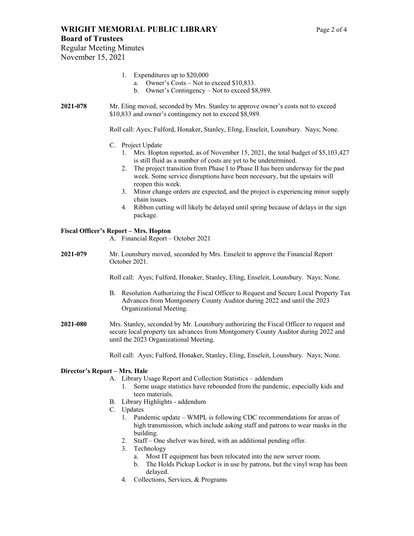Regular Meeting Minutes November 15, 2021

- 1. Expenditures up to \$20,000
	- a. Owner's Costs Not to exceed \$10,833.
	- b. Owner's Contingency Not to exceed \$8,989.
- **2021-078** Mr. Eling moved, seconded by Mrs. Stanley to approve owner's costs not to exceed \$10,833 and owner's contingency not to exceed \$8,989.

Roll call: Ayes; Fulford, Honaker, Stanley, Eling, Enseleit, Lounsbury. Nays; None.

- C. Project Update
	- 1. Mrs. Hopton reported, as of November 15, 2021, the total budget of \$5,103,427 is still fluid as a number of costs are yet to be undetermined.
	- 2. The project transition from Phase I to Phase II has been underway for the past week. Some service disruptions have been necessary, but the upstairs will reopen this week.
	- 3. Minor change orders are expected, and the project is experiencing minor supply chain issues.
	- 4. Ribbon cutting will likely be delayed until spring because of delays in the sign package.

### **Fiscal Officer's Report – Mrs. Hopton**

- A. Financial Report October 2021
- **2021-079** Mr. Lounsbury moved, seconded by Mrs. Enseleit to approve the Financial Report October 2021.

Roll call: Ayes; Fulford, Honaker, Stanley, Eling, Enseleit, Lounsbury. Nays; None.

- B. Resolution Authorizing the Fiscal Officer to Request and Secure Local Property Tax Advances from Montgomery County Auditor during 2022 and until the 2023 Organizational Meeting.
- **2021-080** Mrs. Stanley, seconded by Mr. Lounsbury authorizing the Fiscal Officer to request and secure local property tax advances from Montgomery County Auditor during 2022 and until the 2023 Organizational Meeting.

Roll call: Ayes; Fulford, Honaker, Stanley, Eling, Enseleit, Lounsbury. Nays; None.

### **Director's Report – Mrs. Hale**

- A. Library Usage Report and Collection Statistics addendum
	- 1. Some usage statistics have rebounded from the pandemic, especially kids and teen materials.
- B. Library Highlights addendum
- C. Updates
	- 1. Pandemic update WMPL is following CDC recommendations for areas of high transmission, which include asking staff and patrons to wear masks in the building.
	- 2. Staff One shelver was hired, with an additional pending offer.
	- 3. Technology
		- a. Most IT equipment has been relocated into the new server room.
		- b. The Holds Pickup Locker is in use by patrons, but the vinyl wrap has been delayed.
	- 4. Collections, Services, & Programs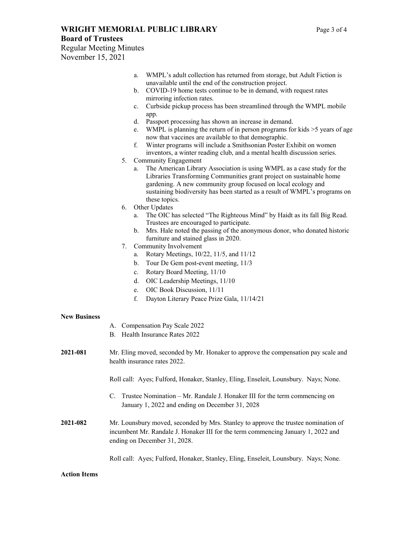### **WRIGHT MEMORIAL PUBLIC LIBRARY** Page 3 of 4

Regular Meeting Minutes November 15, 2021

a. WMPL's adult collection has returned from storage, but Adult Fiction is unavailable until the end of the construction project. b. COVID-19 home tests continue to be in demand, with request rates mirroring infection rates. c. Curbside pickup process has been streamlined through the WMPL mobile app. d. Passport processing has shown an increase in demand. e. WMPL is planning the return of in person programs for kids >5 years of age now that vaccines are available to that demographic. f. Winter programs will include a Smithsonian Poster Exhibit on women inventors, a winter reading club, and a mental health discussion series. 5. Community Engagement a. The American Library Association is using WMPL as a case study for the Libraries Transforming Communities grant project on sustainable home gardening. A new community group focused on local ecology and sustaining biodiversity has been started as a result of WMPL's programs on these topics. 6. Other Updates a. The OIC has selected "The Righteous Mind" by Haidt as its fall Big Read. Trustees are encouraged to participate. b. Mrs. Hale noted the passing of the anonymous donor, who donated historic furniture and stained glass in 2020. 7. Community Involvement a. Rotary Meetings, 10/22, 11/5, and 11/12 b. Tour De Gem post-event meeting, 11/3 c. Rotary Board Meeting, 11/10 d. OIC Leadership Meetings, 11/10 e. OIC Book Discussion, 11/11 f. Dayton Literary Peace Prize Gala, 11/14/21 **New Business**  A. Compensation Pay Scale 2022 B. Health Insurance Rates 2022 **2021-081** Mr. Eling moved, seconded by Mr. Honaker to approve the compensation pay scale and health insurance rates 2022. Roll call: Ayes; Fulford, Honaker, Stanley, Eling, Enseleit, Lounsbury. Nays; None. C. Trustee Nomination – Mr. Randale J. Honaker III for the term commencing on January 1, 2022 and ending on December 31, 2028 **2021-082** Mr. Lounsbury moved, seconded by Mrs. Stanley to approve the trustee nomination of incumbent Mr. Randale J. Honaker III for the term commencing January 1, 2022 and ending on December 31, 2028.

Roll call: Ayes; Fulford, Honaker, Stanley, Eling, Enseleit, Lounsbury. Nays; None.

### **Action Items**